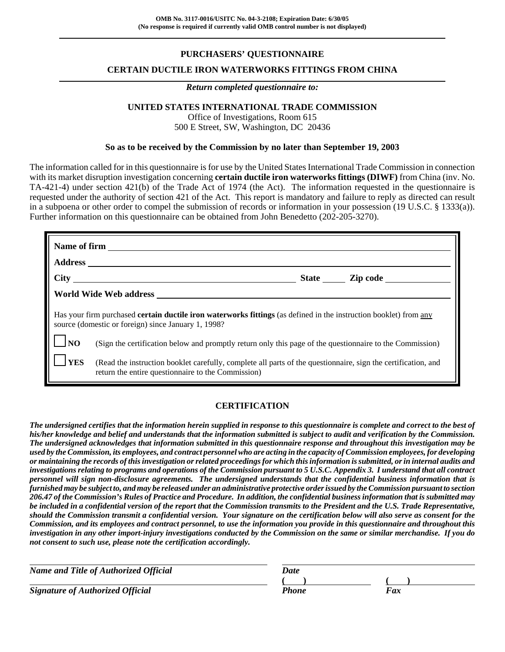# **PURCHASERS' QUESTIONNAIRE**

## **CERTAIN DUCTILE IRON WATERWORKS FITTINGS FROM CHINA**

#### *Return completed questionnaire to:*

### **UNITED STATES INTERNATIONAL TRADE COMMISSION**

Office of Investigations, Room 615 500 E Street, SW, Washington, DC 20436

#### **So as to be received by the Commission by no later than September 19, 2003**

The information called for in this questionnaire is for use by the United States International Trade Commission in connection with its market disruption investigation concerning **certain ductile iron waterworks fittings (DIWF)** from China (inv. No. TA-421-4) under section 421(b) of the Trade Act of 1974 (the Act). The information requested in the questionnaire is requested under the authority of section 421 of the Act. This report is mandatory and failure to reply as directed can result in a subpoena or other order to compel the submission of records or information in your possession (19 U.S.C. § 1333(a)). Further information on this questionnaire can be obtained from John Benedetto (202-205-3270).

|                                                                                                                                                                                 | State <u>Lipcode</u>                                                                                                                                                |  |  |  |  |  |
|---------------------------------------------------------------------------------------------------------------------------------------------------------------------------------|---------------------------------------------------------------------------------------------------------------------------------------------------------------------|--|--|--|--|--|
|                                                                                                                                                                                 |                                                                                                                                                                     |  |  |  |  |  |
| Has your firm purchased <b>certain ductile iron waterworks fittings</b> (as defined in the instruction booklet) from any<br>source (domestic or foreign) since January 1, 1998? |                                                                                                                                                                     |  |  |  |  |  |
| $\overline{\phantom{a}}$ NO                                                                                                                                                     | (Sign the certification below and promptly return only this page of the questionnaire to the Commission)                                                            |  |  |  |  |  |
| <b>YES</b>                                                                                                                                                                      | (Read the instruction booklet carefully, complete all parts of the questionnaire, sign the certification, and<br>return the entire questionnaire to the Commission) |  |  |  |  |  |

## **CERTIFICATION**

*The undersigned certifies that the information herein supplied in response to this questionnaire is complete and correct to the best of his/her knowledge and belief and understands that the information submitted is subject to audit and verification by the Commission. The undersigned acknowledges that information submitted in this questionnaire response and throughout this investigation may be used by the Commission, its employees, and contract personnel who are acting in the capacity of Commission employees, for developing or maintaining the records of this investigation or related proceedings for which this information is submitted, or in internal audits and investigations relating to programs and operations of the Commission pursuant to 5 U.S.C. Appendix 3. I understand that all contract personnel will sign non-disclosure agreements. The undersigned understands that the confidential business information that is furnished may be subject to, and may be released under an administrative protective order issued by the Commission pursuant to section 206.47 of the Commission's Rules of Practice and Procedure. In addition, the confidential business information that is submitted may be included in a confidential version of the report that the Commission transmits to the President and the U.S. Trade Representative, should the Commission transmit a confidential version. Your signature on the certification below will also serve as consent for the Commission, and its employees and contract personnel, to use the information you provide in this questionnaire and throughout this investigation in any other import-injury investigations conducted by the Commission on the same or similar merchandise. If you do not consent to such use, please note the certification accordingly.*

| Name and Title of Authorized Official   | Date  |     |
|-----------------------------------------|-------|-----|
|                                         |       |     |
| <b>Signature of Authorized Official</b> | Phone | Fax |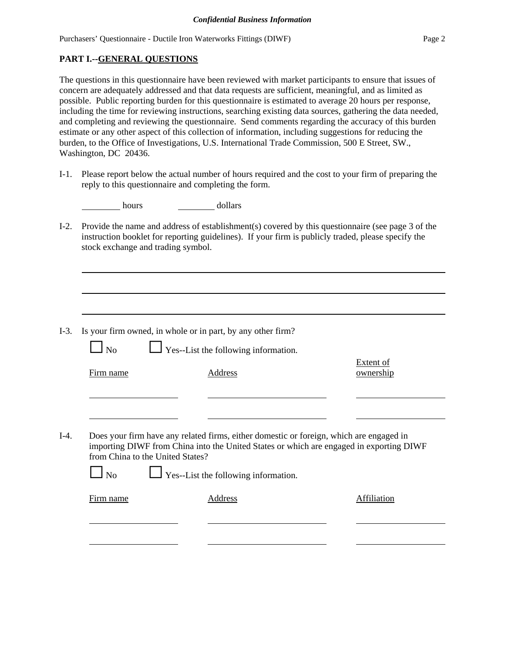## **PART I.--GENERAL QUESTIONS**

The questions in this questionnaire have been reviewed with market participants to ensure that issues of concern are adequately addressed and that data requests are sufficient, meaningful, and as limited as possible. Public reporting burden for this questionnaire is estimated to average 20 hours per response, including the time for reviewing instructions, searching existing data sources, gathering the data needed, and completing and reviewing the questionnaire. Send comments regarding the accuracy of this burden estimate or any other aspect of this collection of information, including suggestions for reducing the burden, to the Office of Investigations, U.S. International Trade Commission, 500 E Street, SW., Washington, DC 20436.

I-1. Please report below the actual number of hours required and the cost to your firm of preparing the reply to this questionnaire and completing the form.

| hours | dollars |
|-------|---------|
|-------|---------|

I-2. Provide the name and address of establishment(s) covered by this questionnaire (see page 3 of the instruction booklet for reporting guidelines). If your firm is publicly traded, please specify the stock exchange and trading symbol.

| N <sub>o</sub>                   | $\Box$ Yes--List the following information.                                             |                               |
|----------------------------------|-----------------------------------------------------------------------------------------|-------------------------------|
| Firm name                        | Address                                                                                 | <b>Extent of</b><br>ownership |
|                                  |                                                                                         |                               |
|                                  |                                                                                         |                               |
|                                  | Does your firm have any related firms, either domestic or foreign, which are engaged in |                               |
| from China to the United States? | importing DIWF from China into the United States or which are engaged in exporting DIWF |                               |
| N <sub>0</sub>                   | $\Box$ Yes--List the following information.                                             |                               |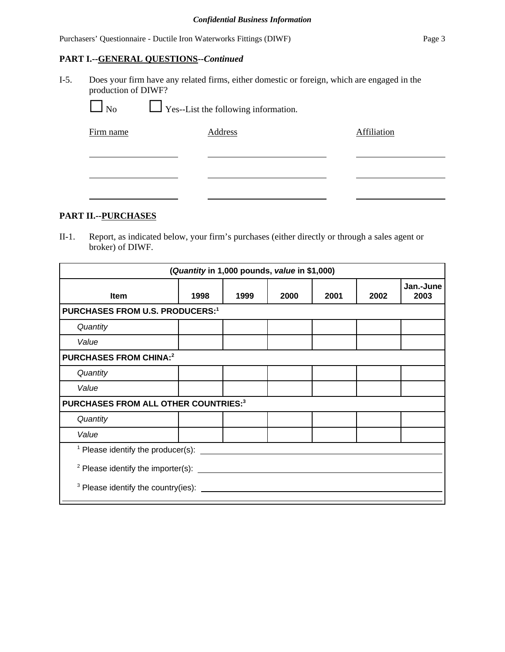## **PART I.--GENERAL QUESTIONS--***Continued*

I-5. Does your firm have any related firms, either domestic or foreign, which are engaged in the production of DIWF?

 $\Box$  No  $\Box$  Yes--List the following information.

| Firm name | Address | Affiliation |
|-----------|---------|-------------|
|           |         |             |
|           |         |             |
|           |         |             |

## **PART II.--PURCHASES**

II-1. Report, as indicated below, your firm's purchases (either directly or through a sales agent or broker) of DIWF.

| (Quantity in 1,000 pounds, value in \$1,000)               |                                        |      |      |      |      |                   |  |
|------------------------------------------------------------|----------------------------------------|------|------|------|------|-------------------|--|
| Item                                                       | 1998                                   | 1999 | 2000 | 2001 | 2002 | Jan.-June<br>2003 |  |
|                                                            | <b>PURCHASES FROM U.S. PRODUCERS:1</b> |      |      |      |      |                   |  |
| Quantity                                                   |                                        |      |      |      |      |                   |  |
| Value                                                      |                                        |      |      |      |      |                   |  |
| <b>PURCHASES FROM CHINA:2</b>                              |                                        |      |      |      |      |                   |  |
| Quantity                                                   |                                        |      |      |      |      |                   |  |
| Value                                                      |                                        |      |      |      |      |                   |  |
| PURCHASES FROM ALL OTHER COUNTRIES:3                       |                                        |      |      |      |      |                   |  |
| Quantity                                                   |                                        |      |      |      |      |                   |  |
| Value                                                      |                                        |      |      |      |      |                   |  |
| $\frac{1}{1}$ Please identify the producer(s): ______      |                                        |      |      |      |      |                   |  |
| $2$ Please identify the importer(s): $\frac{1}{2}$         |                                        |      |      |      |      |                   |  |
| <sup>3</sup> Please identify the country(ies): ___________ |                                        |      |      |      |      |                   |  |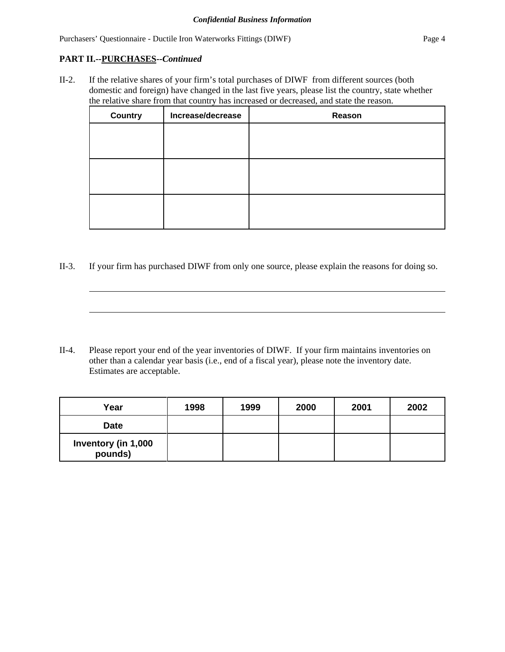## **PART II.--PURCHASES--***Continued*

II-2. If the relative shares of your firm's total purchases of DIWF from different sources (both domestic and foreign) have changed in the last five years, please list the country, state whether the relative share from that country has increased or decreased, and state the reason.

| <b>Country</b> | Increase/decrease | Reason |
|----------------|-------------------|--------|
|                |                   |        |
|                |                   |        |
|                |                   |        |
|                |                   |        |
|                |                   |        |
|                |                   |        |

II-3. If your firm has purchased DIWF from only one source, please explain the reasons for doing so.

II-4. Please report your end of the year inventories of DIWF. If your firm maintains inventories on other than a calendar year basis (i.e., end of a fiscal year), please note the inventory date. Estimates are acceptable.

| Year                           | 1998 | 1999 | 2000 | 2001 | 2002 |
|--------------------------------|------|------|------|------|------|
| <b>Date</b>                    |      |      |      |      |      |
| Inventory (in 1,000<br>pounds) |      |      |      |      |      |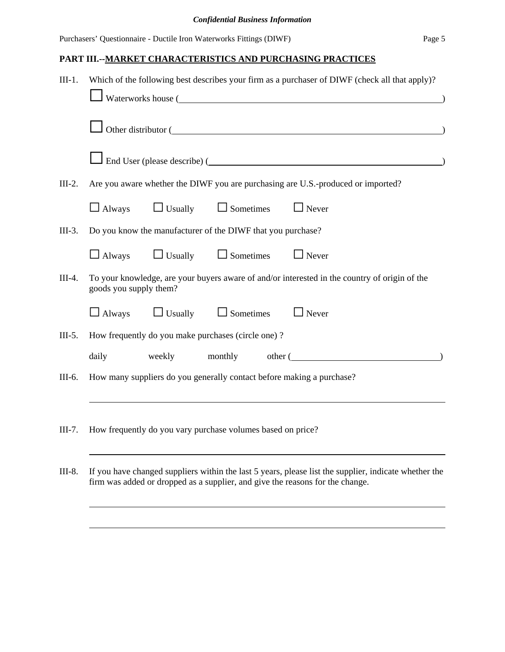## **PART III.--MARKET CHARACTERISTICS AND PURCHASING PRACTICES**

| $III-1.$ | Which of the following best describes your firm as a purchaser of DIWF (check all that apply)? |        |                                                             |  |                                                                                               |  |
|----------|------------------------------------------------------------------------------------------------|--------|-------------------------------------------------------------|--|-----------------------------------------------------------------------------------------------|--|
|          |                                                                                                |        |                                                             |  | Waterworks house (                                                                            |  |
|          |                                                                                                |        |                                                             |  | Other distributor (                                                                           |  |
|          |                                                                                                |        |                                                             |  |                                                                                               |  |
| $III-2.$ |                                                                                                |        |                                                             |  | Are you aware whether the DIWF you are purchasing are U.S.-produced or imported?              |  |
|          | $\Box$ Always                                                                                  |        | $\Box$ Usually $\Box$ Sometimes                             |  | $\Box$ Never                                                                                  |  |
| $III-3.$ |                                                                                                |        | Do you know the manufacturer of the DIWF that you purchase? |  |                                                                                               |  |
|          | $\Box$ Always                                                                                  |        | $\Box$ Usually $\Box$ Sometimes                             |  | $\Box$ Never                                                                                  |  |
| $III-4.$ | goods you supply them?                                                                         |        |                                                             |  | To your knowledge, are your buyers aware of and/or interested in the country of origin of the |  |
|          | $\Box$ Always                                                                                  |        | $\Box$ Usually $\Box$ Sometimes                             |  | $\Box$ Never                                                                                  |  |
| $III-5.$ |                                                                                                |        | How frequently do you make purchases (circle one)?          |  |                                                                                               |  |
|          | daily                                                                                          | weekly | monthly                                                     |  | other (                                                                                       |  |
| III-6.   |                                                                                                |        |                                                             |  | How many suppliers do you generally contact before making a purchase?                         |  |
| $III-7.$ |                                                                                                |        | How frequently do you vary purchase volumes based on price? |  |                                                                                               |  |
|          |                                                                                                |        |                                                             |  |                                                                                               |  |

III-8. If you have changed suppliers within the last 5 years, please list the supplier, indicate whether the firm was added or dropped as a supplier, and give the reasons for the change.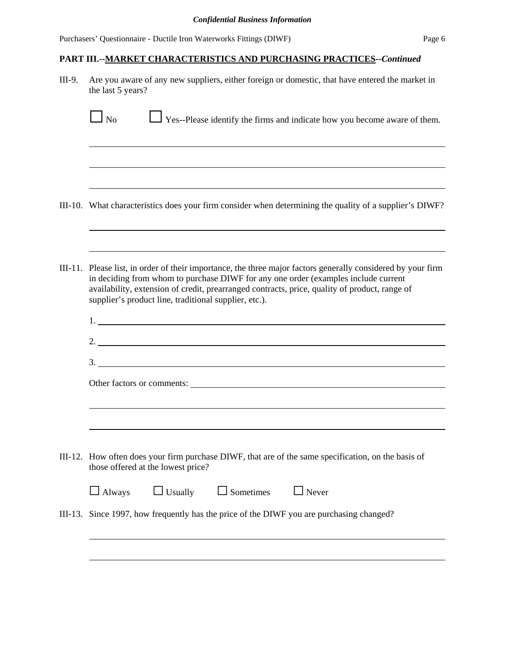### **PART III.--MARKET CHARACTERISTICS AND PURCHASING PRACTICES--***Continued*

III-9. Are you aware of any new suppliers, either foreign or domestic, that have entered the market in the last 5 years?  $\Box$  No  $\Box$  Yes--Please identify the firms and indicate how you become aware of them. <u> 1989 - Johann Stoff, amerikansk politiker (\* 1908)</u> III-10. What characteristics does your firm consider when determining the quality of a supplier's DIWF? III-11. Please list, in order of their importance, the three major factors generally considered by your firm in deciding from whom to purchase DIWF for any one order (examples include current availability, extension of credit, prearranged contracts, price, quality of product, range of supplier's product line, traditional supplier, etc.). 1. 2. 3. Other factors or comments: III-12. How often does your firm purchase DIWF, that are of the same specification, on the basis of those offered at the lowest price?  $\Box$  Always  $\Box$  Usually  $\Box$  Sometimes  $\Box$  Never III-13. Since 1997, how frequently has the price of the DIWF you are purchasing changed?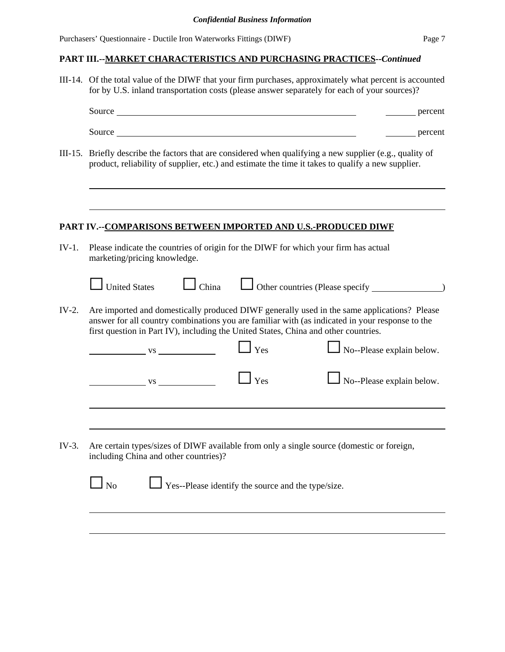## **PART III.--MARKET CHARACTERISTICS AND PURCHASING PRACTICES--***Continued*

III-14. Of the total value of the DIWF that your firm purchases, approximately what percent is accounted for by U.S. inland transportation costs (please answer separately for each of your sources)?

|         | Source <b>Source Source Source Source Source</b>                                                                                   |                                                           | percent                                                                                                                                                                                        |  |
|---------|------------------------------------------------------------------------------------------------------------------------------------|-----------------------------------------------------------|------------------------------------------------------------------------------------------------------------------------------------------------------------------------------------------------|--|
|         |                                                                                                                                    |                                                           | percent                                                                                                                                                                                        |  |
|         | product, reliability of supplier, etc.) and estimate the time it takes to qualify a new supplier.                                  |                                                           | III-15. Briefly describe the factors that are considered when qualifying a new supplier (e.g., quality of                                                                                      |  |
|         | PART IV.--COMPARISONS BETWEEN IMPORTED AND U.S.-PRODUCED DIWF                                                                      |                                                           |                                                                                                                                                                                                |  |
| $IV-1.$ | Please indicate the countries of origin for the DIWF for which your firm has actual<br>marketing/pricing knowledge.                |                                                           |                                                                                                                                                                                                |  |
|         | <b>United States</b><br>$\Box$ China                                                                                               |                                                           | $\Box$ Other countries (Please specify $\Box$                                                                                                                                                  |  |
| $IV-2.$ | first question in Part IV), including the United States, China and other countries.                                                |                                                           | Are imported and domestically produced DIWF generally used in the same applications? Please<br>answer for all country combinations you are familiar with (as indicated in your response to the |  |
|         | $\overline{\phantom{a}}$ vs $\overline{\phantom{a}}$                                                                               | $\mathbf{\perp}$ Yes                                      | $\Box$ No--Please explain below.                                                                                                                                                               |  |
|         | $\overline{\text{vs}}$                                                                                                             | $\mathbf{y}_{\text{es}}$                                  | No--Please explain below.                                                                                                                                                                      |  |
|         |                                                                                                                                    |                                                           |                                                                                                                                                                                                |  |
| $IV-3.$ | Are certain types/sizes of DIWF available from only a single source (domestic or foreign,<br>including China and other countries)? |                                                           |                                                                                                                                                                                                |  |
|         | $\log$                                                                                                                             | $\Box$ Yes--Please identify the source and the type/size. |                                                                                                                                                                                                |  |
|         |                                                                                                                                    |                                                           |                                                                                                                                                                                                |  |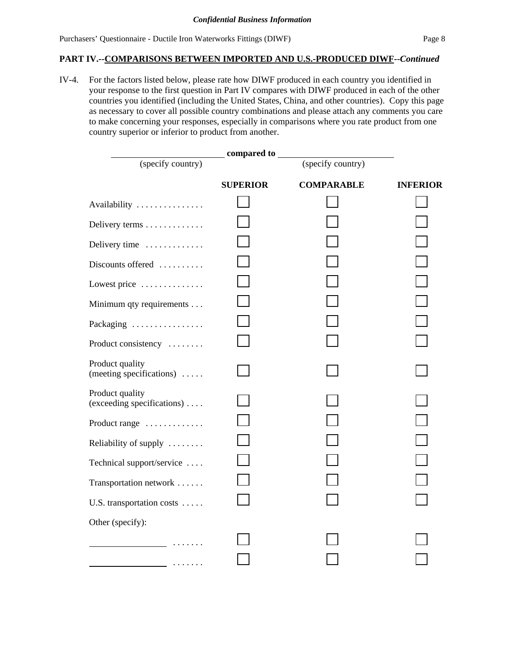#### **PART IV.--COMPARISONS BETWEEN IMPORTED AND U.S.-PRODUCED DIWF--***Continued*

IV-4. For the factors listed below, please rate how DIWF produced in each country you identified in your response to the first question in Part IV compares with DIWF produced in each of the other countries you identified (including the United States, China, and other countries). Copy this page as necessary to cover all possible country combinations and please attach any comments you care to make concerning your responses, especially in comparisons where you rate product from one country superior or inferior to product from another.

|                                                                                                                        | compared to     |                   |                 |
|------------------------------------------------------------------------------------------------------------------------|-----------------|-------------------|-----------------|
| (specify country)                                                                                                      |                 | (specify country) |                 |
|                                                                                                                        | <b>SUPERIOR</b> | <b>COMPARABLE</b> | <b>INFERIOR</b> |
| Availability                                                                                                           |                 |                   |                 |
| Delivery terms                                                                                                         |                 |                   |                 |
| Delivery time                                                                                                          |                 |                   |                 |
| Discounts offered                                                                                                      |                 |                   |                 |
| Lowest price                                                                                                           |                 |                   |                 |
| Minimum qty requirements                                                                                               |                 |                   |                 |
| Packaging                                                                                                              |                 |                   |                 |
| Product consistency                                                                                                    |                 |                   |                 |
| Product quality<br>(meeting specifications) $\dots$                                                                    |                 |                   |                 |
| Product quality<br>(exceeding specifications)                                                                          |                 |                   |                 |
| Product range                                                                                                          |                 |                   |                 |
| Reliability of supply                                                                                                  |                 |                   |                 |
| Technical support/service                                                                                              |                 |                   |                 |
| Transportation network                                                                                                 |                 |                   |                 |
| U.S. transportation costs                                                                                              |                 |                   |                 |
| Other (specify):                                                                                                       |                 |                   |                 |
|                                                                                                                        |                 |                   |                 |
| <u> 1986 - Jan Alexandria III, martxa a tsair an tsair an tsair an tsair an tsair an tsair an tsair an tsair an ts</u> |                 |                   |                 |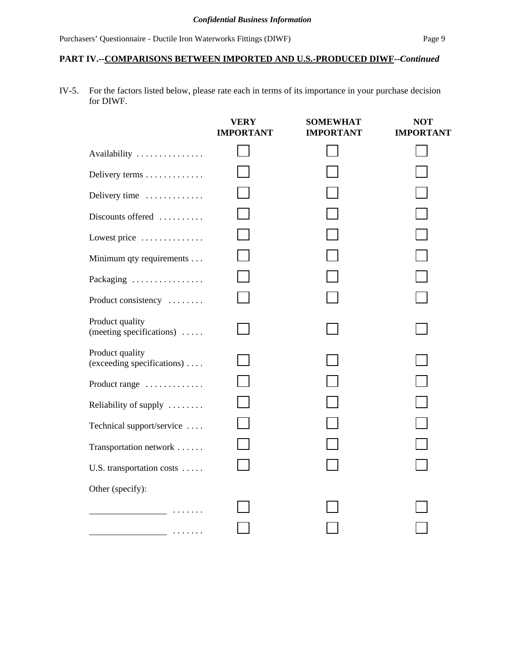### **PART IV.--COMPARISONS BETWEEN IMPORTED AND U.S.-PRODUCED DIWF--***Continued*

IV-5. For the factors listed below, please rate each in terms of its importance in your purchase decision for DIWF.

|                                                 | <b>VERY</b><br><b>IMPORTANT</b> | <b>SOMEWHAT</b><br><b>IMPORTANT</b> | <b>NOT</b><br><b>IMPORTANT</b> |
|-------------------------------------------------|---------------------------------|-------------------------------------|--------------------------------|
| Availability                                    |                                 |                                     |                                |
| Delivery terms                                  |                                 |                                     |                                |
| Delivery time                                   |                                 |                                     |                                |
| Discounts offered                               |                                 |                                     |                                |
| Lowest price                                    |                                 |                                     |                                |
| Minimum qty requirements                        |                                 |                                     |                                |
| Packaging                                       |                                 |                                     |                                |
| Product consistency                             |                                 |                                     |                                |
| Product quality<br>(meeting specifications)     |                                 |                                     |                                |
| Product quality<br>(exceeding specifications)   |                                 |                                     |                                |
| Product range                                   |                                 |                                     |                                |
| Reliability of supply                           |                                 |                                     |                                |
| Technical support/service                       |                                 |                                     |                                |
| Transportation network                          |                                 |                                     |                                |
| U.S. transportation costs                       |                                 |                                     |                                |
| Other (specify):                                |                                 |                                     |                                |
|                                                 |                                 |                                     |                                |
| the contract of the contract of the contract of |                                 |                                     |                                |